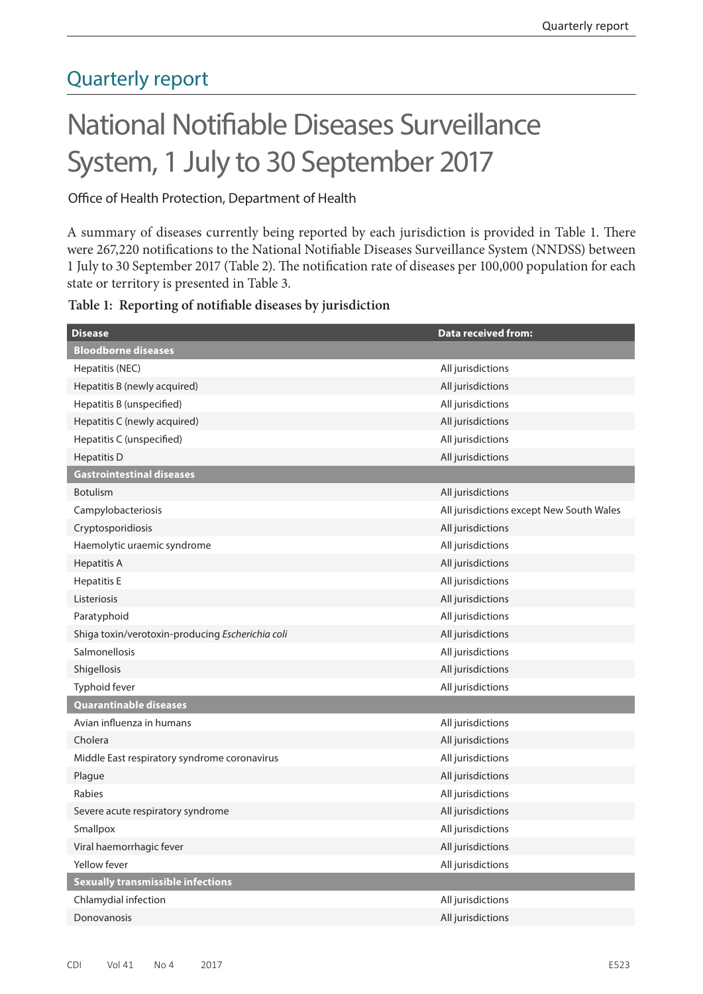# Quarterly report

# National Notifiable Diseases Surveillance System, 1 July to 30 September 2017

Office of Health Protection, Department of Health

A summary of diseases currently being reported by each jurisdiction is provided in Table 1. There were 267,220 notifications to the National Notifiable Diseases Surveillance System (NNDSS) between 1 July to 30 September 2017 (Table 2). The notification rate of diseases per 100,000 population for each state or territory is presented in Table 3.

|  |  | Table 1: Reporting of notifiable diseases by jurisdiction |  |  |  |
|--|--|-----------------------------------------------------------|--|--|--|
|--|--|-----------------------------------------------------------|--|--|--|

| <b>Disease</b>                                   | <b>Data received from:</b>               |
|--------------------------------------------------|------------------------------------------|
| <b>Bloodborne diseases</b>                       |                                          |
| Hepatitis (NEC)                                  | All jurisdictions                        |
| Hepatitis B (newly acquired)                     | All jurisdictions                        |
| Hepatitis B (unspecified)                        | All jurisdictions                        |
| Hepatitis C (newly acquired)                     | All jurisdictions                        |
| Hepatitis C (unspecified)                        | All jurisdictions                        |
| <b>Hepatitis D</b>                               | All jurisdictions                        |
| <b>Gastrointestinal diseases</b>                 |                                          |
| <b>Botulism</b>                                  | All jurisdictions                        |
| Campylobacteriosis                               | All jurisdictions except New South Wales |
| Cryptosporidiosis                                | All jurisdictions                        |
| Haemolytic uraemic syndrome                      | All jurisdictions                        |
| <b>Hepatitis A</b>                               | All jurisdictions                        |
| <b>Hepatitis E</b>                               | All jurisdictions                        |
| Listeriosis                                      | All jurisdictions                        |
| Paratyphoid                                      | All jurisdictions                        |
| Shiga toxin/verotoxin-producing Escherichia coli | All jurisdictions                        |
| Salmonellosis                                    | All jurisdictions                        |
| Shigellosis                                      | All jurisdictions                        |
| Typhoid fever                                    | All jurisdictions                        |
| <b>Quarantinable diseases</b>                    |                                          |
| Avian influenza in humans                        | All jurisdictions                        |
| Cholera                                          | All jurisdictions                        |
| Middle East respiratory syndrome coronavirus     | All jurisdictions                        |
| Plague                                           | All jurisdictions                        |
| Rabies                                           | All jurisdictions                        |
| Severe acute respiratory syndrome                | All jurisdictions                        |
| Smallpox                                         | All jurisdictions                        |
| Viral haemorrhagic fever                         | All jurisdictions                        |
| Yellow fever                                     | All jurisdictions                        |
| <b>Sexually transmissible infections</b>         |                                          |
| Chlamydial infection                             | All jurisdictions                        |
| Donovanosis                                      | All jurisdictions                        |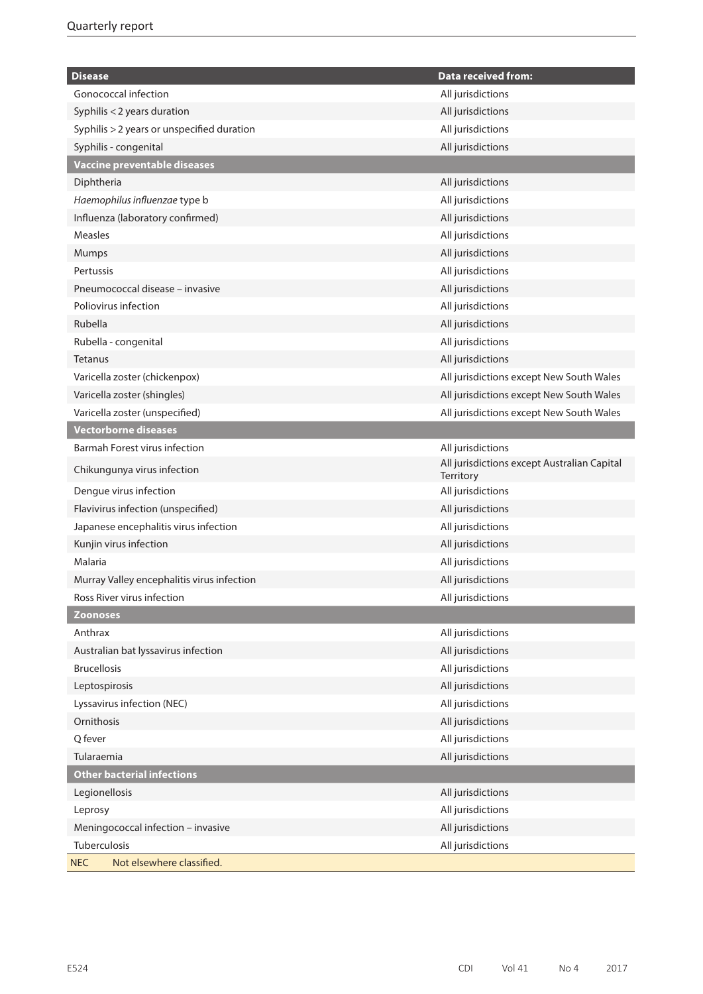| <b>Disease</b>                             | <b>Data received from:</b>                               |
|--------------------------------------------|----------------------------------------------------------|
| Gonococcal infection                       | All jurisdictions                                        |
| Syphilis < 2 years duration                | All jurisdictions                                        |
| Syphilis > 2 years or unspecified duration | All jurisdictions                                        |
| Syphilis - congenital                      | All jurisdictions                                        |
| Vaccine preventable diseases               |                                                          |
| Diphtheria                                 | All jurisdictions                                        |
| Haemophilus influenzae type b              | All jurisdictions                                        |
| Influenza (laboratory confirmed)           | All jurisdictions                                        |
| <b>Measles</b>                             | All jurisdictions                                        |
| Mumps                                      | All jurisdictions                                        |
| Pertussis                                  | All jurisdictions                                        |
| Pneumococcal disease - invasive            | All jurisdictions                                        |
| Poliovirus infection                       | All jurisdictions                                        |
| Rubella                                    | All jurisdictions                                        |
| Rubella - congenital                       | All jurisdictions                                        |
| <b>Tetanus</b>                             | All jurisdictions                                        |
| Varicella zoster (chickenpox)              | All jurisdictions except New South Wales                 |
| Varicella zoster (shingles)                | All jurisdictions except New South Wales                 |
| Varicella zoster (unspecified)             | All jurisdictions except New South Wales                 |
| <b>Vectorborne diseases</b>                |                                                          |
| Barmah Forest virus infection              | All jurisdictions                                        |
| Chikungunya virus infection                | All jurisdictions except Australian Capital<br>Territory |
| Dengue virus infection                     | All jurisdictions                                        |
| Flavivirus infection (unspecified)         | All jurisdictions                                        |
| Japanese encephalitis virus infection      | All jurisdictions                                        |
| Kunjin virus infection                     | All jurisdictions                                        |
| Malaria                                    | All jurisdictions                                        |
| Murray Valley encephalitis virus infection | All jurisdictions                                        |
| Ross River virus infection                 | All jurisdictions                                        |
| <b>Zoonoses</b>                            |                                                          |
| Anthrax                                    | All jurisdictions                                        |
| Australian bat lyssavirus infection        | All jurisdictions                                        |
| <b>Brucellosis</b>                         | All jurisdictions                                        |
| Leptospirosis                              | All jurisdictions                                        |
| Lyssavirus infection (NEC)                 | All jurisdictions                                        |
| Ornithosis                                 | All jurisdictions                                        |
| Q fever                                    | All jurisdictions                                        |
| Tularaemia                                 | All jurisdictions                                        |
| <b>Other bacterial infections</b>          |                                                          |
| Legionellosis                              | All jurisdictions                                        |
| Leprosy                                    | All jurisdictions                                        |
| Meningococcal infection - invasive         | All jurisdictions                                        |
| Tuberculosis                               | All jurisdictions                                        |
| Not elsewhere classified.<br><b>NEC</b>    |                                                          |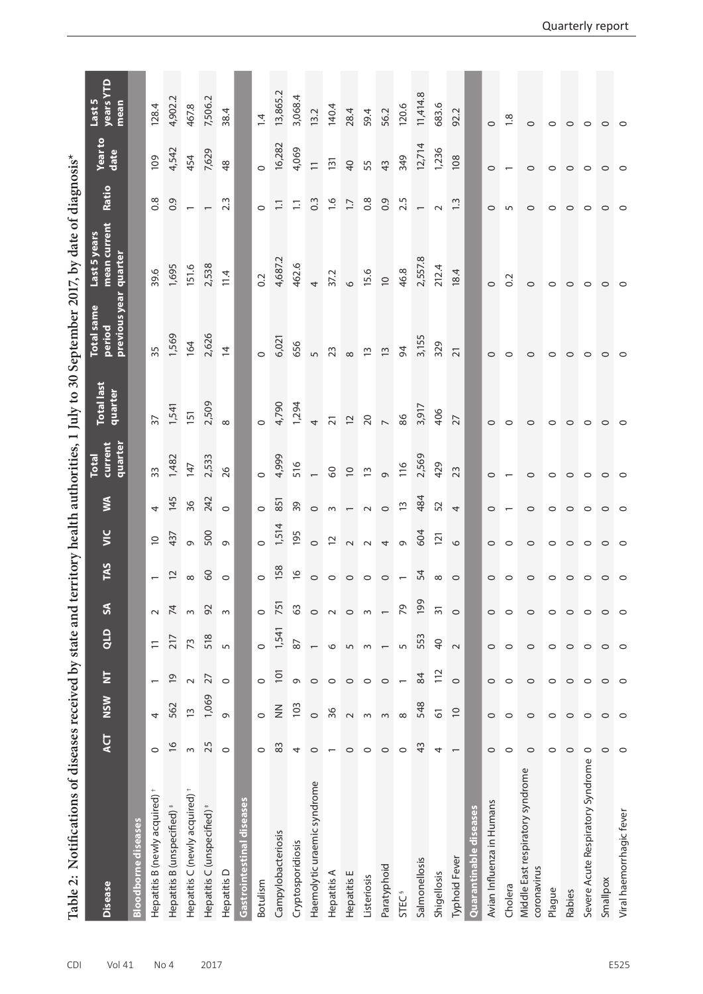| Table 2: Notifications of diseases received by state and |                          |               |                          |                  |                |                    |                |                          |                                    |                              |                                              | territory health authorities, 1 July to 30 September 2017, by date of diagnosis <sup>*</sup> |                  |                  |                             |
|----------------------------------------------------------|--------------------------|---------------|--------------------------|------------------|----------------|--------------------|----------------|--------------------------|------------------------------------|------------------------------|----------------------------------------------|----------------------------------------------------------------------------------------------|------------------|------------------|-----------------------------|
| <b>Disease</b>                                           | <b>ACT</b>               | <b>NSW</b>    | $\overline{\mathsf{z}}$  | $rac{1}{\alpha}$ | S              | TAS                | $\overline{y}$ | S                        | current<br>quarter<br><b>Total</b> | <b>Total last</b><br>quarter | previous year<br><b>Total</b> same<br>period | mean current<br>Last 5 years<br>quarter                                                      | Ratio            | Year to<br>date  | years YTD<br>Last 5<br>mean |
| <b>Bloodborne diseases</b>                               |                          |               |                          |                  |                |                    |                |                          |                                    |                              |                                              |                                                                                              |                  |                  |                             |
| Hepatitis B (newly acquired) <sup>+</sup>                | $\circ$                  | 4             | $\overline{\phantom{0}}$ | $\equiv$         | $\sim$         |                    | $\overline{C}$ | $\overline{a}$           | 33                                 | $\overline{37}$              | 35                                           | 39.6                                                                                         | 0.8              | 109              | 128.4                       |
| Hepatitis B (unspecified)                                | $\frac{6}{2}$            | 562           | $\overline{6}$           | 217              | 74             | $\overline{c}$     | 437            | 145                      | 1,482                              | 1,541                        | 1,569                                        | 1,695                                                                                        | 0.9              | 4,542            | 4,902.2                     |
| Hepatitis C (newly acquired)                             | $\sim$                   | $\tilde{1}$   | $\sim$                   | 73               | $\sim$         | ${}^{\circ}$       | $\circ$        | 36                       | 147                                | 151                          | 164                                          | 151.6                                                                                        |                  | 454              | 467.8                       |
| Hepatitis C (unspecified) <sup>#</sup>                   | 25                       | 1,069         | 27                       | 518              | 92             | $\delta$           | 500            | 242                      | 2,533                              | 2,509                        | 2,626                                        | 2,538                                                                                        |                  | 7,629            | 7,506.2                     |
| Hepatitis D                                              | $\circ$                  | G             | $\circ$                  | 5                | $\sim$         | $\circ$            | $\sigma$       | $\circ$                  | 26                                 | $\infty$                     | $\overline{4}$                               | 11.4                                                                                         | $2.\overline{3}$ | 48               | 38.4                        |
| Gastrointestinal diseases                                |                          |               |                          |                  |                |                    |                |                          |                                    |                              |                                              |                                                                                              |                  |                  |                             |
| Botulism                                                 | $\circ$                  | $\circ$       | $\circ$                  | $\circ$          | $\circ$        | $\circ$            | $\circ$        | $\circ$                  |                                    | $\circ$                      |                                              | 0.2                                                                                          | $\circ$          |                  | $\overline{4}$              |
| Campylobacteriosis                                       | 83                       | $\frac{z}{z}$ | 101                      | 1,541            | 751            | 158                | 1,514          | 851                      | 4,999                              | 4,790                        | 6,021                                        | 4,687.2                                                                                      | $\Xi$            | 16,282           | 13,865.2                    |
| Cryptosporidiosis                                        | 4                        | 103           | G                        | 87               | 3              | $\frac{\infty}{2}$ | 195            | 39                       | 516                                | 1,294                        | 656                                          | 462.6                                                                                        | $\Xi$            | 4,069            | 3,068.4                     |
| Haemolytic uraemic syndrome                              | $\circ$                  | $\circ$       | $\circ$                  |                  | $\circ$        | $\circ$            | $\circ$        | $\circ$                  |                                    | $\overline{a}$               | $\sqrt{ }$                                   | 4                                                                                            | 0.3              | $\overline{1}$   | 13.2                        |
| Hepatitis A                                              | $\overline{ }$           | 36            | $\circ$                  | 9                | $\sim$         | $\circ$            | $\overline{C}$ | $\sim$                   | $\mathcal{S}^{\circ}$              | $\overline{21}$              | 23                                           | 37.2                                                                                         | $\frac{6}{1}$    | $\overline{131}$ | 140.4                       |
| Hepatitis E                                              | $\circ$                  | $\sim$        | $\circ$                  | 5                | $\circ$        | $\circ$            | $\sim$         | $\overline{\phantom{0}}$ | $\overline{C}$                     | $\overline{\mathcal{L}}$     | $\infty$                                     | $\circ$                                                                                      | $\overline{1.7}$ | $\overline{40}$  | 28.4                        |
| Listeriosis                                              | $\circ$                  | $\sim$        | $\circ$                  | $\sim$           | $\sim$         | $\circ$            | $\sim$         | $\sim$                   | $\overline{1}$                     | 20                           | $\tilde{1}$                                  | 15.6                                                                                         | 0.8              | 55               | 59.4                        |
| Paratyphoid                                              | $\circ$                  | $\sim$        | $\circ$                  |                  |                | $\circ$            | $\downarrow$   | $\circ$                  | $\circ$                            | $\overline{a}$               | $\tilde{1}$                                  | $\supseteq$                                                                                  | 0.9              | 43               | 56.2                        |
| <b>STEC<sup>§</sup></b>                                  | $\circ$                  | $\infty$      | $\overline{\phantom{0}}$ | 5                | 29             | $\overline{a}$     | $\circ$        | $\widetilde{\mathbb{C}}$ | 116                                | 86                           | 64                                           | 46.8                                                                                         | 2.5              | 349              | 120.6                       |
| Salmonellosis                                            | ₩                        | 548           | 84                       | 553              | 199            | 54                 | 604            | 484                      | 2,569                              | 3,917                        | 3,155                                        | 2,557.8                                                                                      |                  | 12,714           | 11,414.8                    |
| Shigellosis                                              | 4                        | 61            | 112                      | $\overline{6}$   | $\overline{5}$ | $\infty$           | 121            | 52                       | 429                                | 406                          | 329                                          | 212.4                                                                                        | $\sim$           | 1,236            | 683.6                       |
| Typhoid Fever                                            | $\overline{\phantom{0}}$ | $\approx$     | $\circ$                  | $\sim$           | $\circ$        | $\circ$            | $\circ$        | $\overline{4}$           | 23                                 | 27                           | $\overline{21}$                              | 18.4                                                                                         | $\ddot{ }$       | 108              | 92.2                        |
| Quarantinable diseases                                   |                          |               |                          |                  |                |                    |                |                          |                                    |                              |                                              |                                                                                              |                  |                  |                             |
| Avian Influenza in Humans                                | $\circ$                  | $\circ$       | $\circ$                  | $\circ$          | $\circ$        | $\circ$            | $\circ$        | $\circ$                  | $\circ$                            | $\circ$                      | $\circ$                                      | $\circ$                                                                                      | $\circ$          | $\circ$          | $\circ$                     |
| Cholera                                                  | $\circ$                  | $\circ$       | $\circ$                  | $\circ$          | $\circ$        | $\circ$            | $\circ$        |                          | $\overline{\phantom{0}}$           | $\circ$                      | $\circ$                                      | $\overline{0}$                                                                               | S                |                  | $\frac{8}{18}$              |
| Middle East respiratory syndrome<br>coronavirus          | $\circ$                  | $\circ$       | $\circ$                  | $\circ$          | $\circ$        | $\circ$            | $\circ$        | $\circ$                  | $\circ$                            | $\circ$                      | $\circ$                                      | $\circ$                                                                                      | $\circ$          | $\circ$          | $\circ$                     |
| Plague                                                   | 0                        | $\circ$       | 0                        | 0                | 0              | $\circ$            | $\circ$        | $\circ$                  | $\circ$                            | $\circ$                      | $\circ$                                      | $\circ$                                                                                      | $\circ$          | $\circ$          | $\circ$                     |
| Rabies                                                   | $\circ$                  | $\circ$       | $\circ$                  | $\circ$          | $\circ$        | $\circ$            | $\circ$        | $\circ$                  | $\circ$                            | $\circ$                      | $\circ$                                      | $\circ$                                                                                      | $\circ$          | $\circ$          | $\circ$                     |
| Severe Acute Respiratory Syndrome                        | $\circ$                  | $\circ$       | $\circ$                  | $\circ$          | $\circ$        | $\circ$            | $\circ$        | $\circ$                  | $\circ$                            | $\circ$                      | $\circ$                                      | $\circ$                                                                                      | $\circ$          | $\circ$          | $\circ$                     |
| Smallpox                                                 | $\circ$                  | 0             | $\circ$                  | 0                | 0              | 0                  | $\circ$        | $\circ$                  | $\circ$                            | 0                            | $\circ$                                      | $\circ$                                                                                      | $\circ$          | $\circ$          | $\circ$                     |
| Viral haemorrhagic fever                                 | $\circ$                  |               | $\circ$                  | $\circ$          | $\circ$        | $\circ$            | $\circ$        | $\circ$                  | $\circ$                            | $\circ$                      | $\circ$                                      | $\circ$                                                                                      | $\circ$          | $\circ$          | $\circ$                     |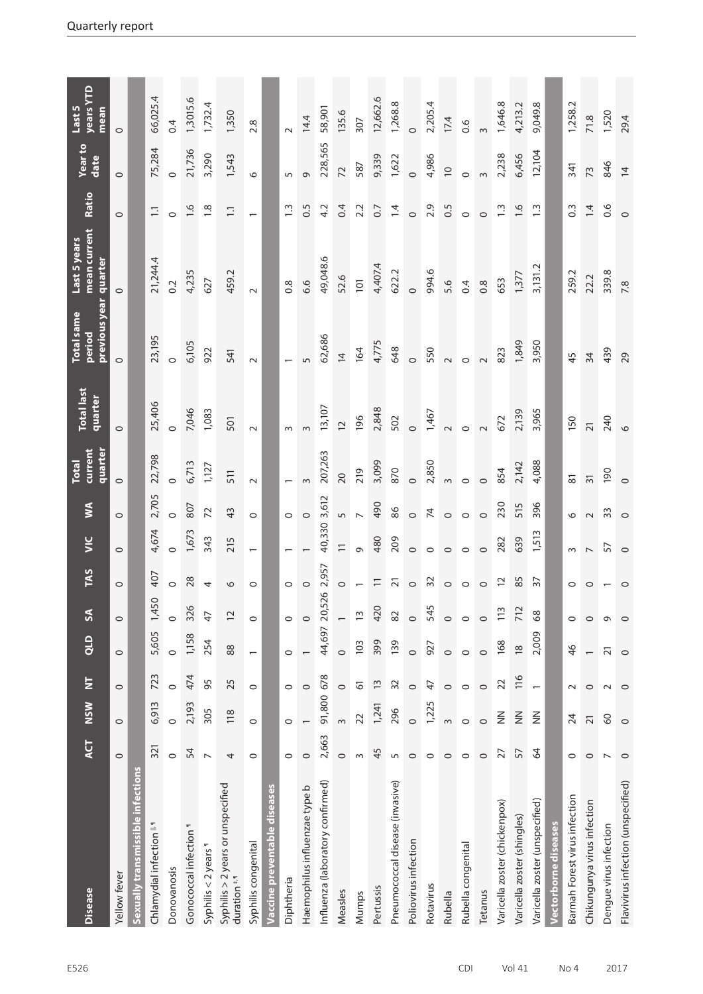| <b>Disease</b>                                         | <b>ACT</b>     | <b>NSW</b>      | $\overline{\mathsf{z}}$  | d <sub>10</sub>          | $\mathbf{r}$   | TAS             | $rac{C}{2}$              | $\boldsymbol{\mathsf{S}}$ | current<br>quarter<br><b>Total</b> | <b>Total last</b><br>quarter | previous year quarter<br><b>Total same</b><br>period | mean current<br>Last 5 years | Ratio            | Yearto<br>date | <b>Vears YTD</b><br>Last 5<br>mean |
|--------------------------------------------------------|----------------|-----------------|--------------------------|--------------------------|----------------|-----------------|--------------------------|---------------------------|------------------------------------|------------------------------|------------------------------------------------------|------------------------------|------------------|----------------|------------------------------------|
| Yellow fever                                           | $\circ$        | $\circ$         | $\circ$                  | $\circ$                  | $\circ$        | $\circ$         | $\circ$                  | $\circ$                   | $\circ$                            | $\circ$                      | $\circ$                                              | $\circ$                      | $\circ$          | $\circ$        | $\circ$                            |
| Sexually transmissible infections                      |                |                 |                          |                          |                |                 |                          |                           |                                    |                              |                                                      |                              |                  |                |                                    |
| Chlamydial infection <sup>1</sup>                      | 321            | 6,913           | 723                      | 5,605                    | 1,450          | 407             | 4,674                    | 2,705                     | 22,798                             | 25,406                       | 23,195                                               | 21,244.4                     | $\overline{1}$ . | 75,284         | 66,025.4                           |
| Donovanosis                                            | $\circ$        | $\circ$         | $\circ$                  | $\circ$                  | $\circ$        | $\circ$         | $\circ$                  | $\circ$                   | $\circ$                            | $\circ$                      | $\circ$                                              | 0.2                          | $\circ$          | $\circ$        | 0.4                                |
| Gonococcal infection <sup>1</sup>                      | 54             | 2,193           | 474                      | 1,158                    | 326            | 28              | 1,673                    | 807                       | 6,713                              | 7,046                        | 6,105                                                | 4,235                        | 0.6              | 21,736         | 1,3015.6                           |
| Syphilis < 2 years 1                                   | $\overline{ }$ | 305             | 95                       | 254                      | $\overline{4}$ | 4               | 343                      | 72                        | 1,127                              | 1,083                        | 922                                                  | 627                          | $\frac{8}{10}$   | 3,290          | 1,732.4                            |
| Syphilis > 2 years or unspecified<br>$d$ uration $*$ . | 4              | 118             | 25                       | $88$                     | $\overline{c}$ | $\circ$         | 215                      | 43                        | 511                                | 501                          | 541                                                  | 459.2                        | $\Xi$            | 1,543          | 1,350                              |
| Syphilis congenital                                    | $\circ$        | $\circ$         | $\circ$                  | $\overline{\phantom{0}}$ | $\circ$        | $\circ$         |                          | $\circ$                   | $\sim$                             | $\sim$                       | $\sim$                                               | $\sim$                       |                  | $\circ$        | 2.8                                |
| Vaccine preventable diseases                           |                |                 |                          |                          |                |                 |                          |                           |                                    |                              |                                                      |                              |                  |                |                                    |
| Diphtheria                                             | $\circ$        | $\circ$         | $\circ$                  | $\circ$                  | $\circ$        | $\circ$         |                          | $\circ$                   |                                    | $\sim$                       |                                                      | $0.\overline{8}$             | $\frac{3}{2}$    | 5              |                                    |
| Haemophilus influenzae type b                          | $\circ$        |                 | $\circ$                  | $\overline{\phantom{0}}$ | $\circ$        | $\circ$         |                          | $\circ$                   | $\infty$                           | $\infty$                     | 5                                                    | 6.6                          | 0.5              | G              | 14.4                               |
| Influenza (laboratory confirmed)                       | 2,663          | 91,800          | 678                      | 44,697                   | 526<br>20,     | 2,957           | 40,330                   | 3,612                     | 207,263                            | 13,107                       | 62,686                                               | 49,048.6                     | 4.2              | 228,565        | 58,901                             |
| Measles                                                | $\circ$        | $\infty$        | $\circ$                  | $\circ$                  |                | $\circ$         | $\equiv$                 | 5                         | $\overline{20}$                    | $\overline{C}$               | $\overline{4}$                                       | 52.6                         | 0.4              | 72             | 135.6                              |
| Mumps                                                  | $\infty$       | 22              | 61                       | 103                      | $\overline{1}$ |                 | $\sigma$                 | $\overline{a}$            | 219                                | 196                          | 164                                                  | 101                          | 2.2              | 587            | 307                                |
| Pertussis                                              | 45             | 1,241           | $\tilde{1}$              | 399                      | 420            | $\Xi$           | 480                      | 490                       | 3,099                              | 2,848                        | 4,775                                                | 4,407.4                      | $\overline{0.7}$ | 9,339          | 12,662.6                           |
| Pneumococcal disease (invasive)                        | $\overline{5}$ | 296             | 32                       | 139                      | 82             | $\overline{21}$ | 209                      | 86                        | 870                                | 502                          | 648                                                  | 622.2                        | 1.4              | 1,622          | 1,268.8                            |
| Poliovirus infection                                   | $\circ$        | $\circ$         | $\circ$                  | $\circ$                  | $\circ$        | $\circ$         | $\circ$                  | $\circ$                   | $\circ$                            | $\circ$                      | $\circ$                                              | $\circ$                      | $\circ$          | $\circ$        | $\circ$                            |
| Rotavirus                                              | $\circ$        | 1,225           | A                        | 927                      | 545            | 32              | $\circ$                  | $\overline{7}$            | 2,850                              | 1,467                        | 550                                                  | 994.6                        | 2.9              | 4,986          | 2,205.4                            |
| Rubella                                                | $\circ$        | $\infty$        | $\circ$                  | $\circ$                  | $\circ$        | $\circ$         | $\circ$                  | $\circ$                   | $\infty$                           | $\sim$                       | $\sim$                                               | 5.6                          | 0.5              | $\overline{0}$ | 17.4                               |
| Rubella congenital                                     | $\circ$        | $\circ$         | $\circ$                  | $\circ$                  | $\circ$        | $\circ$         | $\circ$                  | $\circ$                   | $\circ$                            | $\circ$                      | $\circ$                                              | 0.4                          | $\circ$          | $\circ$        | 0.6                                |
| Tetanus                                                | $\circ$        | $\circ$         | $\circ$                  | $\circ$                  | $\circ$        | $\circ$         | $\circ$                  | $\circ$                   | $\circ$                            |                              |                                                      | 0.8                          | $\circ$          | $\infty$       | $\infty$                           |
| Varicella zoster (chickenpox)                          | 27             | $\frac{z}{z}$   | 22                       | 168                      | 113            | $\overline{c}$  | 282                      | 230                       | 854                                | 672                          | 823                                                  | 653                          | $\frac{3}{2}$    | 2,238          | 1,646.8                            |
| Varicella zoster (shingles)                            | 57             | $\frac{z}{z}$   | 116                      | $\frac{8}{2}$            | 712            | 85              | 639                      | 515                       | 2,142                              | 2,139                        | 1,849                                                | 1,377                        | $\frac{6}{1}$    | 6,456          | 4,213.2                            |
| Varicella zoster (unspecified)                         | $\mathcal{Q}$  | $\frac{2}{2}$   | $\overline{\phantom{0}}$ | 2,009                    | $\frac{8}{6}$  | $\overline{5}$  | 1,513                    | 396                       | 4,088                              | 3,965                        | 3,950                                                | 3,131.2                      | $\frac{3}{2}$    | 12,104         | 9,049.8                            |
| Vectorborne diseases                                   |                |                 |                          |                          |                |                 |                          |                           |                                    |                              |                                                      |                              |                  |                |                                    |
| Barmah Forest virus infection                          | 0              | 24              | $\sim$                   | $\frac{4}{6}$            | 0              | 0               | ω                        | ৩                         | $\overline{8}$                     | 150                          | 45                                                   | 259.2                        | $\frac{3}{2}$    | 341            | 1,258.2                            |
| Chikungunya virus infection                            | $\circ$        | $\overline{2}1$ | $\circ$                  | $\overline{\phantom{0}}$ | $\circ$        | ⊂               | $\overline{\phantom{0}}$ | $\sim$                    | $\overline{31}$                    | $\overline{21}$              | 34                                                   | 22.2                         | 1.4              | 73             | 71.8                               |
| Dengue virus infection                                 | $\overline{ }$ | $\delta$        |                          | ត                        | Ō              |                 | 57                       | 33                        | 190                                | 240                          | 439                                                  | 339.8                        | 0.6              | 846            | 1,520                              |
| Flavivirus infection (unspecified)                     | $\circ$        | $\circ$         |                          | $\circ$                  | $\circ$        | $\circ$         | $\circ$                  | $\circ$                   | $\circ$                            | $\circ$                      | 29                                                   | 7.8                          | $\circ$          | $\overline{4}$ | 29.4                               |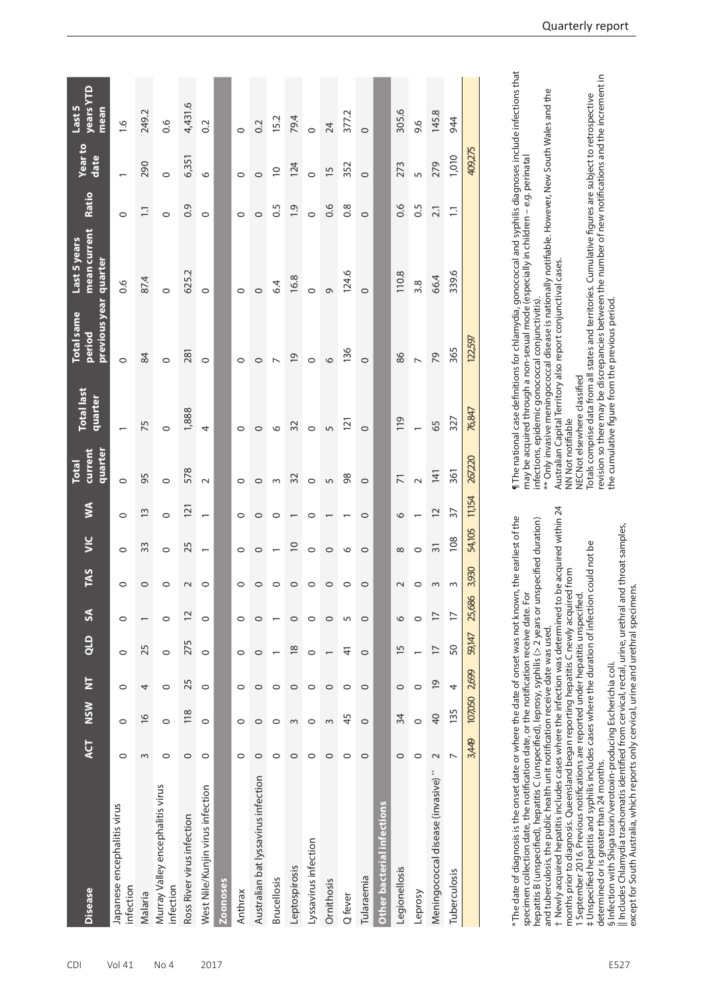| <b>Disease</b>                                 | <b>ACT</b>     | <b>NSN</b>    | $\overline{z}$ | QLD             | $\mathsf{S}$   | <b>TAS</b>         | $\leq$                   | Š                        | current<br>quarter<br><b>Total</b> | <b>Total last</b><br>quarter | <b>Total same</b><br>previous<br><b>Period</b> | mean current<br>Last 5 years<br>quarter | Ratio            | Yearto<br>date  | years YTD<br>Last 5<br>mean |
|------------------------------------------------|----------------|---------------|----------------|-----------------|----------------|--------------------|--------------------------|--------------------------|------------------------------------|------------------------------|------------------------------------------------|-----------------------------------------|------------------|-----------------|-----------------------------|
| Japanese encephalitis virus<br>infection       | $\circ$        | $\circ$       | $\circ$        | $\circ$         | $\circ$        | $\circ$            | $\circ$                  | $\circ$                  | $\circ$                            |                              | $\circ$                                        | 0.6                                     | $\circ$          |                 | $\frac{6}{1}$               |
| Malaria                                        | 3              | $\frac{6}{2}$ | 4              | 25              |                | 0                  | 33                       | $\tilde{1}$              | 95                                 | 75                           | 84                                             | 87.4                                    | $\Xi$            | 290             | 249.2                       |
| Murray Valley encephalitis virus<br>infection  | $\circ$        | $\circ$       | $\circ$        | $\circ$         | 0              | 0                  | $\circ$                  | $\circ$                  | $\circ$                            | $\circ$                      | $\circ$                                        | $\circ$                                 | $\circ$          | $\circ$         | 0.6                         |
| Ross River virus infection                     | $\circ$        | 118           | 25             | 275             | 12             | $\scriptstyle\sim$ | 25                       | $\overline{2}$           | 578                                | 1,888                        | 281                                            | 625.2                                   | 0.9              | 6,351           | 4,431.6                     |
| West Nile/Kunjin virus infection               | $\circ$        | $\circ$       | $\circ$        | $\circ$         | $\circ$        | 0                  | $\overline{\phantom{0}}$ | $\overline{\phantom{0}}$ | $\sim$                             | 4                            | $\circ$                                        | $\circ$                                 | $\circ$          | $\circ$         | 0.2                         |
| <b>Zoonoses</b>                                |                |               |                |                 |                |                    |                          |                          |                                    |                              |                                                |                                         |                  |                 |                             |
| Anthrax                                        | $\circ$        | 0             | $\circ$        | $\circ$         | $\circ$        | $\circ$            | $\circ$                  | $\circ$                  | $\circ$                            | $\circ$                      | $\circ$                                        | $\circ$                                 | $\circ$          | $\circ$         | $\circ$                     |
| Australian bat lyssavirus infection            | 0              | 0             | $\circ$        | 0               | 0              | 0                  | $\circ$                  | 0                        | $\circ$                            | $\circ$                      | $\circ$                                        | $\circ$                                 | $\circ$          | $\circ$         | 0.2                         |
| <b>Brucellosis</b>                             | $\circ$        | 0             | $\circ$        |                 |                | 0                  |                          | 0                        | $\infty$                           | $\circ$                      | $\overline{ }$                                 | 6.4                                     | 6.5              | $\overline{C}$  | 15.2                        |
| Leptospirosis                                  | $\circ$        | $\sim$        | $\circ$        | $\frac{8}{2}$   | $\circ$        | $\circ$            | $\approx$                | $\overline{\phantom{0}}$ | 32                                 | 32                           | $\overline{6}$                                 | 16.8                                    | $\ddot{0}$       | 124             | 79.4                        |
| Lyssavirus infection                           | $\circ$        | 0             | $\circ$        | $\circ$         | 0              | $\circ$            | $\circ$                  | $\circ$                  | $\circ$                            | $\circ$                      | $\circ$                                        | $\circ$                                 | $\circ$          | $\circ$         | $\circ$                     |
| Ornithosis                                     | $\circ$        | 3             | $\circ$        |                 | $\circ$        | 0                  | $\circ$                  |                          | 5                                  | S                            | $\circ$                                        | $\circ$                                 | 0.6              | $\overline{15}$ | 24                          |
| Q fever                                        | $\circ$        | 45            | $\circ$        | 4               | 5              | 0                  | $\circ$                  |                          | 98                                 | $\overline{2}$               | 136                                            | 124.6                                   | 0.8              | 352             | 377.2                       |
| Tularaemia                                     | $\circ$        | $\circ$       | $\circ$        | $\circ$         | $\circ$        | $\circ$            | $\circ$                  | $\circ$                  | $\circ$                            | $\circ$                      | $\circ$                                        | $\circ$                                 | $\circ$          | $\circ$         | $\circ$                     |
| Other bacterial infections                     |                |               |                |                 |                |                    |                          |                          |                                    |                              |                                                |                                         |                  |                 |                             |
| Legionellosis                                  | $\circ$        | 34            | $\circ$        | $\overline{15}$ | $\circ$        | $\sim$             | $\infty$                 | $\circ$                  | $\overline{7}$                     | 119                          | 86                                             | 110.8                                   | 0.6              | 273             | 305.6                       |
| Leprosy                                        | $\circ$        | $\circ$       | $\circ$        |                 | $\circ$        | 0                  | $\circ$                  |                          | $\sim$                             | $\overline{a}$               | $\overline{a}$                                 | 3.8                                     | 0.5              | m               | 9.6                         |
| Meningococcal disease (invasive) <sup>**</sup> | $\sim$         | 40            | $\overline{6}$ | $\overline{1}$  | $\overline{1}$ | S                  | $\overline{5}$           | $\overline{C}$           | 141                                | 65                           | 79                                             | 66.4                                    | $\overline{2.1}$ | 279             | 145.8                       |
| Tuberculosis                                   | $\overline{ }$ | 135           | 4              | 50              | $\overline{1}$ | S                  | 108                      | $\overline{5}$           | 361                                | 327                          | 365                                            | 339.6                                   | $\Xi$            | 1,010           | 944                         |
|                                                | 3,449          | 107,050       | 2,699          | 59,147          | 25,686         | 3,930              | 54,105                   | 11,154                   | 267,220                            | 76,847                       | 122,597                                        |                                         |                  | 409,275         |                             |

| * The date of diagnosis is the onset date or where the date of onset was not known, the earliest of the     |
|-------------------------------------------------------------------------------------------------------------|
| specimen collection date, the notification date, or the notification receive date. For                      |
| hepatitis B (unspecified), hepatitis C (unspecified), leprosy, syphilis (> 2 years or unspecified duration) |
| and tuberculosis, the public health unit notification receive date was used.                                |
| t Newly acquired hepatitis includes cases where the infection was determined to be acquired within 24       |
| months prior to diagnosis. Queensland began reporting hepatitis C newly acquired from                       |
|                                                                                                             |

months prior to diagnosis. Queensland began reporting hepatitis C newly acquired from 1 September 2016. Previous notifications are reported under hepatitis unspecified.

September 2016. Previous notifications are reported under hepatitis unspecified.

‡ Unspecified hepatitis and syphilis includes cases where the duration of infection could not be

Unspecified hepatitis and syphilis includes cases where the duration of infection could not be

determined or is greater than 24 months.

determined or is greater than 24 months.

§ Infection with Shiga toxin/verotoxin-producing Escherichia coli.

i Infection with Shiga toxin/verotoxin-producing Escherichia coli.

|| Includes Chlamydia trachomatis identified from cervical, rectal, urine, urethral and throat samples,

|| Includes Chlamydia trachomatis identified from cervical, rectal, urine, urethral and throat samples,<br>except for South Australia, which reports only cervical, urine and urethral specimens.

except for South Australia, which reports only cervical, urine and urethral specimens.

¶ The national case definitions for chlamydia, gonococcal and syphilis diagnoses include infections that<br>may be acquired through a non-sexual mode (especially in children – e.g. perinatal ¶ The national case definitions for chlamydia, gonococcal and syphilis diagnoses include infections that may be acquired through a non-sexual mode (especially in children – e.g. perinatal

infections, epidemic gonococcal conjunctivitis). infections, epidemic gonococcal conjunctivitis).

\*\* Only invasive meningococcal disease is nationally notifiable. However, New South Wales and the<br>Australian Capital Territory also report conjunctival cases. \*\* Only invasive meningococcal disease is nationally notifiable. However, New South Wales and the Australian Capital Territory also report conjunctival cases.

NN Not notifiable

NN Not notifiable<br>NECNot elsewhere classified NECNot elsewhere classified

Totals comprise data from all states and territories. Cumulative figures are subject to retrospective<br>revision so there may be discrepancies between the number of new notifications and the increment in revision so there may be discrepancies between the number of new notifications and the increment in Totals comprise data from all states and territories. Cumulative figures are subject to retrospective the cumulative figure from the previous period. the cumulative figure from the previous period.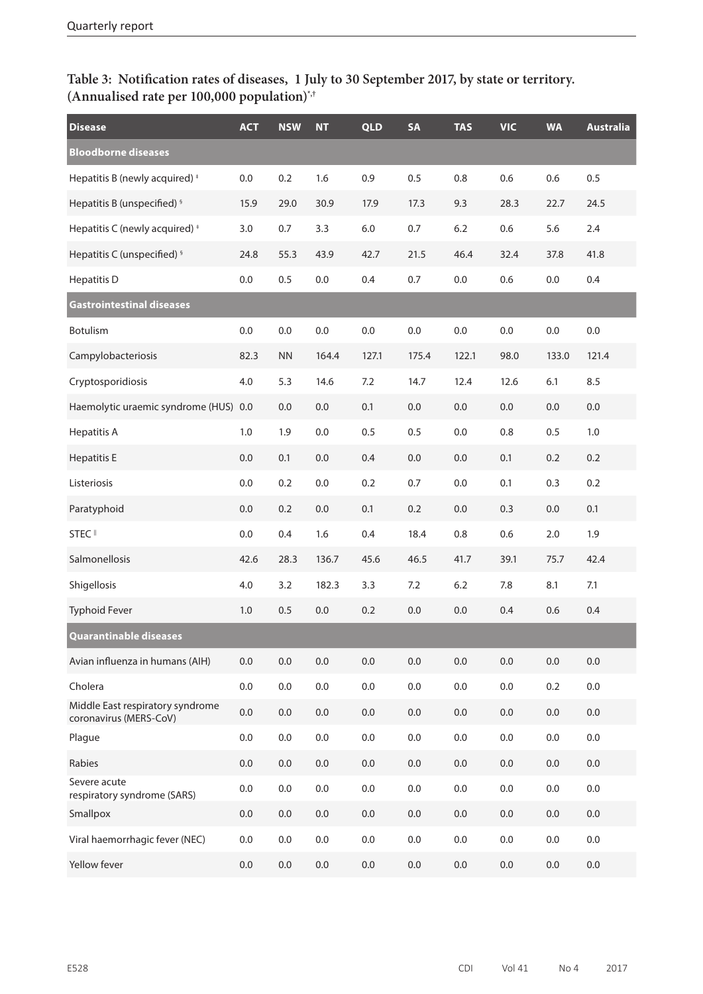## **Table 3: Notification rates of diseases, 1 July to 30 September 2017, by state or territory. (Annualised rate per 100,000 population)\*,†**

| <b>Disease</b>                                             | <b>ACT</b> | <b>NSW</b> | <b>NT</b> | <b>QLD</b> | <b>SA</b> | <b>TAS</b> | <b>VIC</b> | <b>WA</b> | <b>Australia</b> |
|------------------------------------------------------------|------------|------------|-----------|------------|-----------|------------|------------|-----------|------------------|
| <b>Bloodborne diseases</b>                                 |            |            |           |            |           |            |            |           |                  |
| Hepatitis B (newly acquired) <sup>+</sup>                  | 0.0        | 0.2        | 1.6       | 0.9        | 0.5       | 0.8        | 0.6        | 0.6       | 0.5              |
| Hepatitis B (unspecified) <sup>§</sup>                     | 15.9       | 29.0       | 30.9      | 17.9       | 17.3      | 9.3        | 28.3       | 22.7      | 24.5             |
| Hepatitis C (newly acquired) <sup>+</sup>                  | 3.0        | 0.7        | 3.3       | $6.0\,$    | 0.7       | 6.2        | 0.6        | 5.6       | 2.4              |
| Hepatitis C (unspecified) <sup>§</sup>                     | 24.8       | 55.3       | 43.9      | 42.7       | 21.5      | 46.4       | 32.4       | 37.8      | 41.8             |
| <b>Hepatitis D</b>                                         | 0.0        | 0.5        | 0.0       | 0.4        | 0.7       | $0.0\,$    | 0.6        | 0.0       | 0.4              |
| Gastrointestinal diseases                                  |            |            |           |            |           |            |            |           |                  |
| Botulism                                                   | 0.0        | 0.0        | 0.0       | 0.0        | 0.0       | 0.0        | 0.0        | 0.0       | 0.0              |
| Campylobacteriosis                                         | 82.3       | <b>NN</b>  | 164.4     | 127.1      | 175.4     | 122.1      | 98.0       | 133.0     | 121.4            |
| Cryptosporidiosis                                          | 4.0        | 5.3        | 14.6      | 7.2        | 14.7      | 12.4       | 12.6       | 6.1       | 8.5              |
| Haemolytic uraemic syndrome (HUS) 0.0                      |            | 0.0        | 0.0       | 0.1        | $0.0\,$   | $0.0\,$    | $0.0\,$    | 0.0       | 0.0              |
| <b>Hepatitis A</b>                                         | 1.0        | 1.9        | 0.0       | 0.5        | 0.5       | 0.0        | 0.8        | 0.5       | 1.0              |
| <b>Hepatitis E</b>                                         | $0.0\,$    | 0.1        | 0.0       | 0.4        | $0.0\,$   | 0.0        | 0.1        | 0.2       | 0.2              |
| Listeriosis                                                | 0.0        | 0.2        | 0.0       | 0.2        | 0.7       | 0.0        | 0.1        | 0.3       | 0.2              |
| Paratyphoid                                                | $0.0\,$    | 0.2        | 0.0       | 0.1        | 0.2       | $0.0\,$    | 0.3        | 0.0       | 0.1              |
| STEC <sup>II</sup>                                         | $0.0\,$    | 0.4        | 1.6       | 0.4        | 18.4      | 0.8        | 0.6        | 2.0       | 1.9              |
| Salmonellosis                                              | 42.6       | 28.3       | 136.7     | 45.6       | 46.5      | 41.7       | 39.1       | 75.7      | 42.4             |
| Shigellosis                                                | 4.0        | 3.2        | 182.3     | 3.3        | 7.2       | 6.2        | 7.8        | 8.1       | 7.1              |
| <b>Typhoid Fever</b>                                       | 1.0        | 0.5        | 0.0       | 0.2        | 0.0       | 0.0        | 0.4        | 0.6       | 0.4              |
| Quarantinable diseases                                     |            |            |           |            |           |            |            |           |                  |
| Avian influenza in humans (AIH)                            | $0.0\,$    | 0.0        | 0.0       | 0.0        | $0.0\,$   | 0.0        | 0.0        | 0.0       | 0.0              |
| Cholera                                                    | $0.0\,$    | 0.0        | 0.0       | $0.0\,$    | $0.0\,$   | 0.0        | 0.0        | 0.2       | 0.0              |
| Middle East respiratory syndrome<br>coronavirus (MERS-CoV) | $0.0\,$    | $0.0\,$    | 0.0       | $0.0\,$    | $0.0\,$   | $0.0\,$    | $0.0\,$    | 0.0       | 0.0              |
| Plague                                                     | 0.0        | 0.0        | 0.0       | $0.0\,$    | $0.0\,$   | 0.0        | 0.0        | 0.0       | 0.0              |
| Rabies                                                     | $0.0\,$    | $0.0\,$    | 0.0       | $0.0\,$    | $0.0\,$   | 0.0        | $0.0\,$    | 0.0       | 0.0              |
| Severe acute<br>respiratory syndrome (SARS)                | $0.0\,$    | $0.0\,$    | 0.0       | $0.0\,$    | $0.0\,$   | 0.0        | 0.0        | 0.0       | 0.0              |
| Smallpox                                                   | $0.0\,$    | $0.0\,$    | 0.0       | $0.0\,$    | $0.0\,$   | $0.0\,$    | $0.0\,$    | 0.0       | 0.0              |
| Viral haemorrhagic fever (NEC)                             | $0.0\,$    | 0.0        | $0.0\,$   | $0.0\,$    | $0.0\,$   | 0.0        | $0.0\,$    | 0.0       | 0.0              |
| Yellow fever                                               | $0.0\,$    | $0.0\,$    | $0.0\,$   | $0.0\,$    | $0.0\,$   | $0.0\,$    | $0.0\,$    | $0.0\,$   | $0.0\,$          |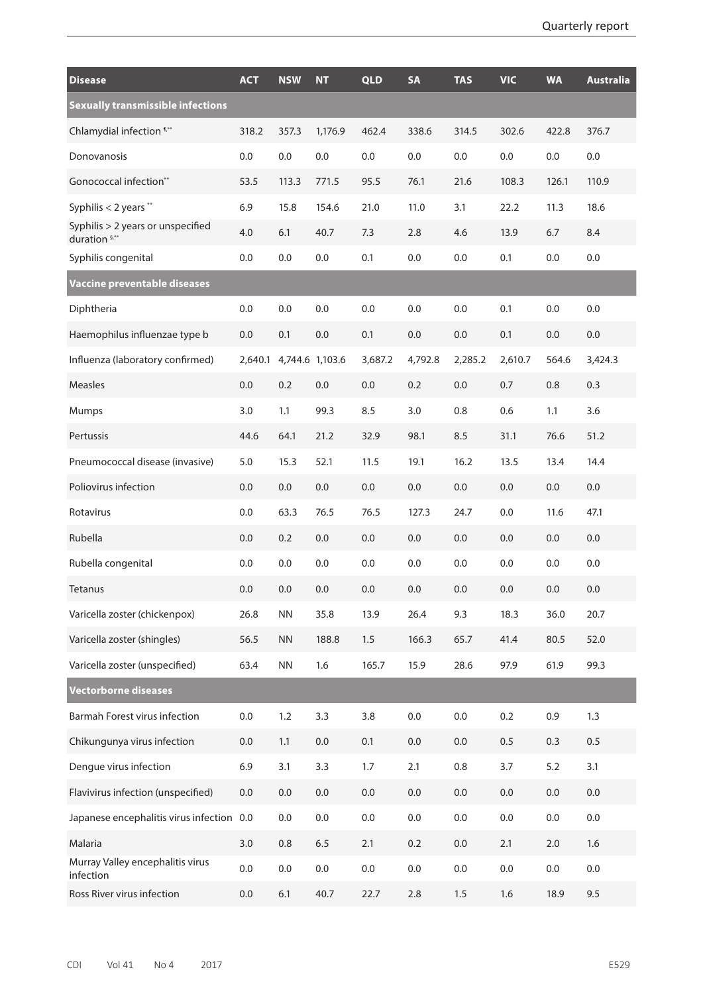| <b>Disease</b>                                     | <b>ACT</b> | <b>NSW</b>      | <b>NT</b> | <b>QLD</b> | <b>SA</b> | <b>TAS</b> | <b>VIC</b> | <b>WA</b> | <b>Australia</b> |
|----------------------------------------------------|------------|-----------------|-----------|------------|-----------|------------|------------|-----------|------------------|
| <b>Sexually transmissible infections</b>           |            |                 |           |            |           |            |            |           |                  |
| Chlamydial infection 1.**                          | 318.2      | 357.3           | 1,176.9   | 462.4      | 338.6     | 314.5      | 302.6      | 422.8     | 376.7            |
| Donovanosis                                        | 0.0        | 0.0             | 0.0       | 0.0        | 0.0       | 0.0        | 0.0        | 0.0       | 0.0              |
| Gonococcal infection**                             | 53.5       | 113.3           | 771.5     | 95.5       | 76.1      | 21.6       | 108.3      | 126.1     | 110.9            |
| Syphilis $<$ 2 years $**$                          | 6.9        | 15.8            | 154.6     | 21.0       | 11.0      | 3.1        | 22.2       | 11.3      | 18.6             |
| Syphilis > 2 years or unspecified<br>duration 5,** | 4.0        | 6.1             | 40.7      | 7.3        | 2.8       | 4.6        | 13.9       | 6.7       | 8.4              |
| Syphilis congenital                                | 0.0        | 0.0             | 0.0       | 0.1        | 0.0       | 0.0        | 0.1        | 0.0       | 0.0              |
| Vaccine preventable diseases                       |            |                 |           |            |           |            |            |           |                  |
| Diphtheria                                         | 0.0        | 0.0             | 0.0       | 0.0        | 0.0       | 0.0        | 0.1        | 0.0       | 0.0              |
| Haemophilus influenzae type b                      | 0.0        | 0.1             | 0.0       | 0.1        | 0.0       | 0.0        | 0.1        | 0.0       | 0.0              |
| Influenza (laboratory confirmed)                   | 2,640.1    | 4,744.6 1,103.6 |           | 3,687.2    | 4,792.8   | 2,285.2    | 2,610.7    | 564.6     | 3,424.3          |
| <b>Measles</b>                                     | 0.0        | 0.2             | 0.0       | 0.0        | 0.2       | 0.0        | 0.7        | 0.8       | 0.3              |
| <b>Mumps</b>                                       | 3.0        | 1.1             | 99.3      | 8.5        | 3.0       | 0.8        | 0.6        | 1.1       | 3.6              |
| Pertussis                                          | 44.6       | 64.1            | 21.2      | 32.9       | 98.1      | 8.5        | 31.1       | 76.6      | 51.2             |
| Pneumococcal disease (invasive)                    | 5.0        | 15.3            | 52.1      | 11.5       | 19.1      | 16.2       | 13.5       | 13.4      | 14.4             |
| Poliovirus infection                               | 0.0        | 0.0             | 0.0       | 0.0        | 0.0       | 0.0        | 0.0        | 0.0       | 0.0              |
| Rotavirus                                          | 0.0        | 63.3            | 76.5      | 76.5       | 127.3     | 24.7       | 0.0        | 11.6      | 47.1             |
| Rubella                                            | 0.0        | 0.2             | 0.0       | 0.0        | 0.0       | 0.0        | 0.0        | 0.0       | 0.0              |
| Rubella congenital                                 | 0.0        | 0.0             | 0.0       | 0.0        | 0.0       | 0.0        | 0.0        | 0.0       | 0.0              |
| Tetanus                                            | 0.0        | 0.0             | 0.0       | 0.0        | 0.0       | 0.0        | 0.0        | 0.0       | 0.0              |
| Varicella zoster (chickenpox)                      | 26.8       | ${\sf NN}$      | 35.8      | 13.9       | 26.4      | 9.3        | 18.3       | 36.0      | 20.7             |
| Varicella zoster (shingles)                        | 56.5       | ${\sf NN}$      | 188.8     | 1.5        | 166.3     | 65.7       | 41.4       | 80.5      | 52.0             |
| Varicella zoster (unspecified)                     | 63.4       | ${\sf NN}$      | 1.6       | 165.7      | 15.9      | 28.6       | 97.9       | 61.9      | 99.3             |
| <b>Vectorborne diseases</b>                        |            |                 |           |            |           |            |            |           |                  |
| Barmah Forest virus infection                      | 0.0        | 1.2             | 3.3       | 3.8        | $0.0\,$   | 0.0        | 0.2        | 0.9       | 1.3              |
| Chikungunya virus infection                        | 0.0        | 1.1             | 0.0       | 0.1        | 0.0       | 0.0        | 0.5        | 0.3       | 0.5              |
| Dengue virus infection                             | 6.9        | 3.1             | 3.3       | 1.7        | 2.1       | 0.8        | 3.7        | 5.2       | 3.1              |
| Flavivirus infection (unspecified)                 | 0.0        | 0.0             | 0.0       | 0.0        | $0.0\,$   | $0.0\,$    | 0.0        | $0.0\,$   | $0.0\,$          |
| Japanese encephalitis virus infection 0.0          |            | 0.0             | 0.0       | 0.0        | $0.0\,$   | 0.0        | 0.0        | $0.0\,$   | 0.0              |
| Malaria                                            | 3.0        | 0.8             | 6.5       | 2.1        | 0.2       | 0.0        | 2.1        | $2.0$     | 1.6              |
| Murray Valley encephalitis virus<br>infection      | 0.0        | $0.0\,$         | 0.0       | 0.0        | $0.0\,$   | $0.0\,$    | 0.0        | 0.0       | 0.0              |
| Ross River virus infection                         | $0.0\,$    | 6.1             | 40.7      | 22.7       | 2.8       | 1.5        | 1.6        | 18.9      | 9.5              |